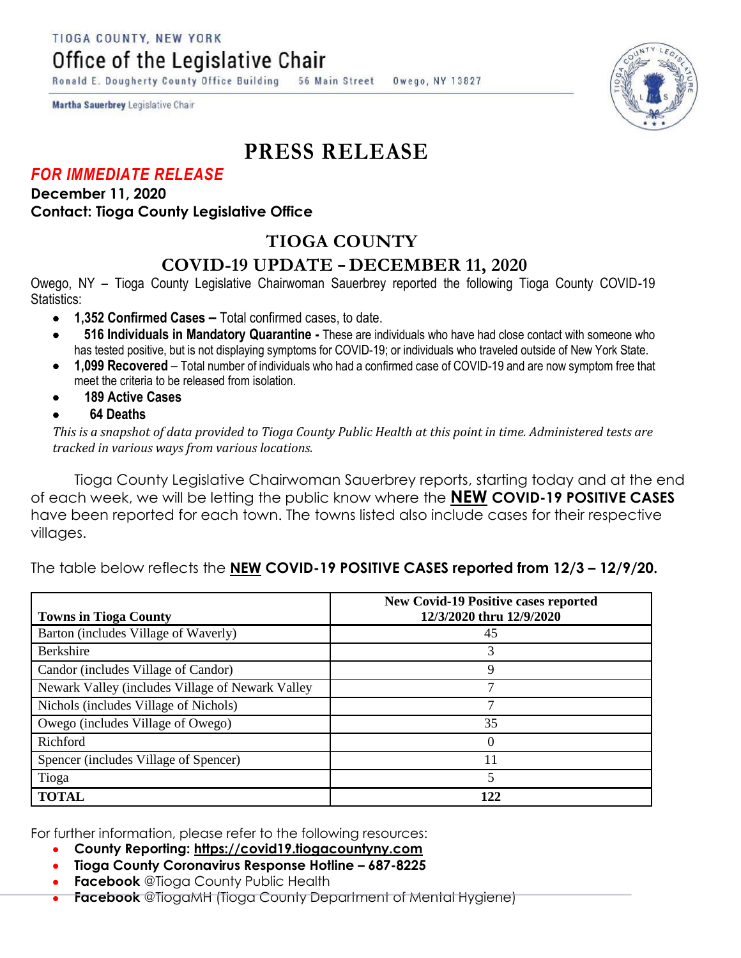TIOGA COUNTY, NEW YORK

Office of the Legislative Chair

Ronald E. Dougherty County Office Building 56 Main Street Owego, NY 13827

Martha Sauerbrey Legislative Chair

# **PRESS RELEASE**

## *FOR IMMEDIATE RELEASE*

### **December 11, 2020 Contact: Tioga County Legislative Office**

# **TIOGA COUNTY**

## **COVID-19 UPDATE – DECEMBER 11, 2020**

Owego, NY – Tioga County Legislative Chairwoman Sauerbrey reported the following Tioga County COVID-19 Statistics:

- **1,352 Confirmed Cases –** Total confirmed cases, to date.
- **516 Individuals in Mandatory Quarantine -** These are individuals who have had close contact with someone who has tested positive, but is not displaying symptoms for COVID-19; or individuals who traveled outside of New York State.
- **1,099 Recovered**  Total number of individuals who had a confirmed case of COVID-19 and are now symptom free that meet the criteria to be released from isolation.
- **189 Active Cases**
- **64 Deaths**

*This is a snapshot of data provided to Tioga County Public Health at this point in time. Administered tests are tracked in various ways from various locations.*

Tioga County Legislative Chairwoman Sauerbrey reports, starting today and at the end of each week, we will be letting the public know where the **NEW COVID-19 POSITIVE CASES** have been reported for each town. The towns listed also include cases for their respective villages.

The table below reflects the **NEW COVID-19 POSITIVE CASES reported from 12/3 – 12/9/20.** 

| <b>Towns in Tioga County</b>                     | <b>New Covid-19 Positive cases reported</b><br>12/3/2020 thru 12/9/2020 |
|--------------------------------------------------|-------------------------------------------------------------------------|
| Barton (includes Village of Waverly)             | 45                                                                      |
| <b>Berkshire</b>                                 | 3                                                                       |
| Candor (includes Village of Candor)              | 9                                                                       |
| Newark Valley (includes Village of Newark Valley | 7                                                                       |
| Nichols (includes Village of Nichols)            |                                                                         |
| Owego (includes Village of Owego)                | 35                                                                      |
| Richford                                         | $\left($                                                                |
| Spencer (includes Village of Spencer)            | 11                                                                      |
| Tioga                                            |                                                                         |
| <b>TOTAL</b>                                     | 122                                                                     |

For further information, please refer to the following resources:

- **County Reporting: [https://covid19.tiogacountyny.com](https://covid19.tiogacountyny.com/)**
- **Tioga County Coronavirus Response Hotline – 687-8225**
- **Facebook** @Tioga County Public Health
- **Facebook** @TiogaMH (Tioga County Department of Mental Hygiene)